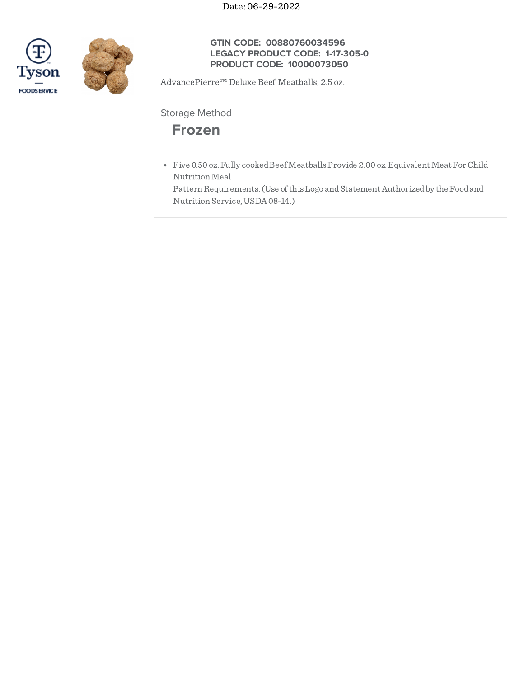Date: 06-29-2022





## **GTIN CODE: 00880760034596 LEGACY PRODUCT CODE: 1-17-305-0 PRODUCT CODE: 10000073050**

AdvancePierre™ Deluxe Beef Meatballs, 2.5 oz.

Storage Method

# **Frozen**

• Five 0.50 oz. Fully cooked Beef Meatballs Provide 2.00 oz. Equivalent Meat For Child NutritionMeal

Pattern Requirements. (Use of this Logo and Statement Authorized by the Food and Nutrition Service,USDA08-14.)